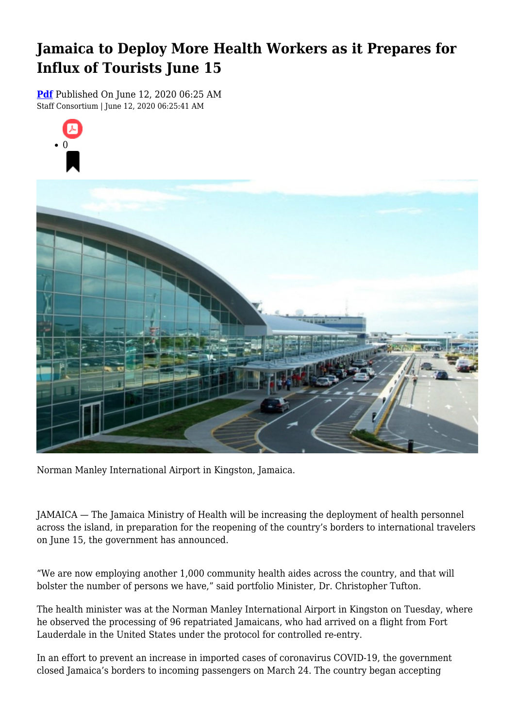## **Jamaica to Deploy More Health Workers as it Prepares for Influx of Tourists June 15**

**[Pdf](https://viconsortium.com/caribbean-pdf)** Published On June 12, 2020 06:25 AM Staff Consortium | June 12, 2020 06:25:41 AM





Norman Manley International Airport in Kingston, Jamaica.

JAMAICA — The Jamaica Ministry of Health will be increasing the deployment of health personnel across the island, in preparation for the reopening of the country's borders to international travelers on June 15, the government has announced.

"We are now employing another 1,000 community health aides across the country, and that will bolster the number of persons we have," said portfolio Minister, Dr. Christopher Tufton.

The health minister was at the Norman Manley International Airport in Kingston on Tuesday, where he observed the processing of 96 repatriated Jamaicans, who had arrived on a flight from Fort Lauderdale in the United States under the protocol for controlled re-entry.

In an effort to prevent an increase in imported cases of coronavirus COVID-19, the government closed Jamaica's borders to incoming passengers on March 24. The country began accepting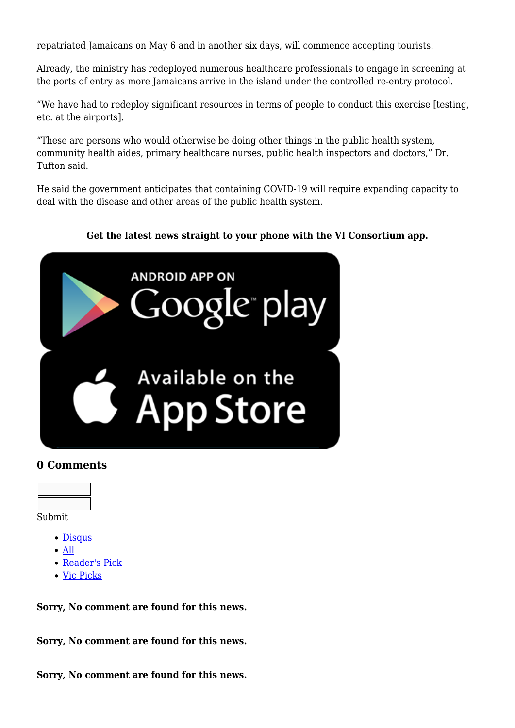repatriated Jamaicans on May 6 and in another six days, will commence accepting tourists.

Already, the ministry has redeployed numerous healthcare professionals to engage in screening at the ports of entry as more Jamaicans arrive in the island under the controlled re-entry protocol.

"We have had to redeploy significant resources in terms of people to conduct this exercise [testing, etc. at the airports].

"These are persons who would otherwise be doing other things in the public health system, community health aides, primary healthcare nurses, public health inspectors and doctors," Dr. Tufton said.

He said the government anticipates that containing COVID-19 will require expanding capacity to deal with the disease and other areas of the public health system.

## **Get the latest news straight to your phone with the VI Consortium app.**



## **0 Comments**



- Submit
	- [Disqus](#page--1-0)
	- [All](#page--1-0)
	- [Reader's Pick](#page--1-0)
	- [Vic Picks](#page--1-0)

**Sorry, No comment are found for this news.**

**Sorry, No comment are found for this news.**

**Sorry, No comment are found for this news.**